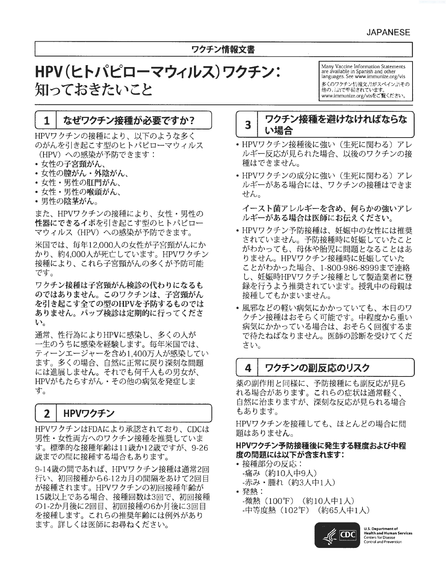# ワクチン情報文書

# HPV(ヒトパピローマウィルス)ワクチン: 知っておきたいこと

Many Vaccine Information Statements are available in Spanish and other languages. See www.immunize.org/vis 多くのワクチン情報文書がスペイン語その 他の言語で準備されています。 www.immunize.org/visをご覧ください

### なぜワクチン接種が必要ですか?  $\mathbf{1}$

HPVワクチンの接種により、以下のような多く のがんを引き起こす型のヒトパピローマウィルス (HPV) への感染が予防できます:

- 女性の子宮頸がん、
- 女性の膣がん・外陰がん、
- 女性・男性の肛門がん、
- 女性・男性の喉頭がん、
- 男性の陰茎がん。

また、HPVワクチンの接種により、女性・男性の 性器にできるイボを引き起こす型のヒトパピロー マウィルス(HPV)への感染が予防できます。

米国では、毎年12,000人の女性が子宮頸がんにか かり、約4,000人が死亡しています。HPVワクチン 接種により、これら子宮頸がんの多くが予防可能 です。

ワクチン接種は子宮頸がん検診の代わりになるも のではありません。このワクチンは、子宮頸がん を引き起こす全ての型のHPVを予防するものでは ありません。パップ検診は定期的に行ってくださ  $\mathbf{v}_\alpha$ 

通常、性行為によりHPVに感染し、多くの人が 一生のうちに感染を経験します。毎年米国では、 ティーンエージャーを含め1,400万人が感染してい ます。多くの場合、自然に正常に戻り深刻な問題 には進展しません。それでも何千人もの男女が、 HPVがもたらすがん·その他の病気を発症しま す。

#### $\mathbf{2}$ HPVワクチン

HPVワクチンはFDAにより承認されており、CDCは 男性・女性両方へのワクチン接種を推奨していま す。標準的な接種年齢は11歳か12歳ですが、9-26 歳までの間に接種する場合もあります。

9-14歳の間であれば、HPVワクチン接種は通常2回 行い、初回接種から6-12カ月の間隔をあけて2回目 が接種されます。HPVワクチンの初回接種年齢が 15歳以上である場合、接種回数は3回で、初回接種 の1-2か月後に2回目、初回接種の6か月後に3回目 を接種します。これらの推奨年齢には例外があり ます。詳しくは医師にお尋ねください。

## ワクチン接種を避けなければならな  $\overline{\mathbf{3}}$ い場合

- HPVワクチン接種後に強い(生死に関わる)アレ ルギー反応が見られた場合、以後のワクチンの接 種はできません。
- HPVワクチンの成分に強い(生死に関わる)アレ ルギーがある場合には、ワクチンの接種はできま せん。

イースト菌アレルギーを含め、何らかの強いアレ ルギーがある場合は医師にお伝えください。

- HPVワクチン予防接種は、妊娠中の女性には推奨 されていません。予防接種時に妊娠していたこと がわかっても、母体や胎児に問題となることはあ りません。HPVワクチン接種時に妊娠していた ことがわかった場合、1-800-986-8999まで連絡 し、妊娠時HPVワクチン接種として製造業者に登 録を行うよう推奨されています。授乳中の母親は 接種してもかまいません。
- •風邪などの軽い病気にかかっていても、本日のワ クチン接種はおそらく可能です。中程度から重い 病気にかかっている場合は、おそらく回復するま で待たねばなりません。医師の診断を受けてくだ さい。

#### $\blacktriangle$ ワクチンの副反応のリスク

薬の副作用と同様に、予防接種にも副反応が見ら れる場合があります。これらの症状は通常軽く、 自然に治まりますが、深刻な反応が見られる場合 もあります。

HPVワクチンを接種しても、ほとんどの場合に問 題はありません。

## HPVワクチン予防接種後に発生する軽度および中程 度の問題には以下が含まれます:

- 接種部分の反応: -痛み(約10人中9人) -赤み・腫れ(約3人中1人)
- 発熱: -微熱(100°F)(約10人中1人) -中等度熱 (102°F) (約65人中1人)



**U.S. Department of** Health and Human Services<br>Centers for Disease<br>Control and Prevention